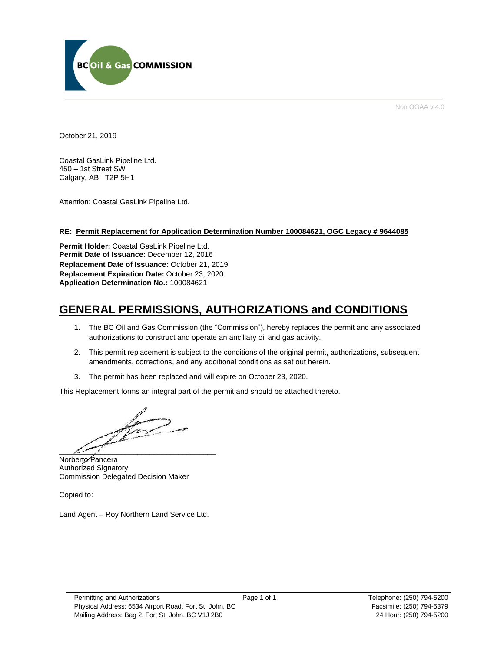

Non OGAA v 4.0

October 21, 2019

Coastal GasLink Pipeline Ltd. 450 – 1st Street SW Calgary, AB T2P 5H1

Attention: Coastal GasLink Pipeline Ltd.

### **RE: Permit Replacement for Application Determination Number 100084621, OGC Legacy # 9644085**

**Permit Holder:** Coastal GasLink Pipeline Ltd. **Permit Date of Issuance:** December 12, 2016 **Replacement Date of Issuance:** October 21, 2019 **Replacement Expiration Date:** October 23, 2020 **Application Determination No.:** 100084621

# **GENERAL PERMISSIONS, AUTHORIZATIONS and CONDITIONS**

- 1. The BC Oil and Gas Commission (the "Commission"), hereby replaces the permit and any associated authorizations to construct and operate an ancillary oil and gas activity.
- 2. This permit replacement is subject to the conditions of the original permit, authorizations, subsequent amendments, corrections, and any additional conditions as set out herein.
- 3. The permit has been replaced and will expire on October 23, 2020.

This Replacement forms an integral part of the permit and should be attached thereto.

 $\mathbb{Z}$  and  $\mathbb{Z}$ 

Norberto Pancera Authorized Signatory Commission Delegated Decision Maker

Copied to:

Land Agent – Roy Northern Land Service Ltd.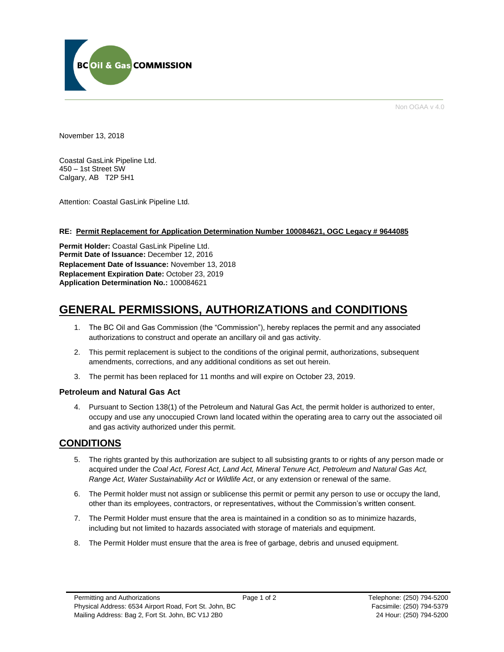

Non OGAA v 4.0

November 13, 2018

Coastal GasLink Pipeline Ltd. 450 – 1st Street SW Calgary, AB T2P 5H1

Attention: Coastal GasLink Pipeline Ltd.

### **RE: Permit Replacement for Application Determination Number 100084621, OGC Legacy # 9644085**

**Permit Holder:** Coastal GasLink Pipeline Ltd. **Permit Date of Issuance:** December 12, 2016 **Replacement Date of Issuance:** November 13, 2018 **Replacement Expiration Date:** October 23, 2019 **Application Determination No.:** 100084621

# **GENERAL PERMISSIONS, AUTHORIZATIONS and CONDITIONS**

- 1. The BC Oil and Gas Commission (the "Commission"), hereby replaces the permit and any associated authorizations to construct and operate an ancillary oil and gas activity.
- 2. This permit replacement is subject to the conditions of the original permit, authorizations, subsequent amendments, corrections, and any additional conditions as set out herein.
- 3. The permit has been replaced for 11 months and will expire on October 23, 2019.

### **Petroleum and Natural Gas Act**

4. Pursuant to Section 138(1) of the Petroleum and Natural Gas Act, the permit holder is authorized to enter, occupy and use any unoccupied Crown land located within the operating area to carry out the associated oil and gas activity authorized under this permit.

## **CONDITIONS**

- 5. The rights granted by this authorization are subject to all subsisting grants to or rights of any person made or acquired under the *Coal Act, Forest Act, Land Act, Mineral Tenure Act, Petroleum and Natural Gas Act, Range Act, Water Sustainability Act* or *Wildlife Act*, or any extension or renewal of the same.
- 6. The Permit holder must not assign or sublicense this permit or permit any person to use or occupy the land, other than its employees, contractors, or representatives, without the Commission's written consent.
- 7. The Permit Holder must ensure that the area is maintained in a condition so as to minimize hazards, including but not limited to hazards associated with storage of materials and equipment.
- 8. The Permit Holder must ensure that the area is free of garbage, debris and unused equipment.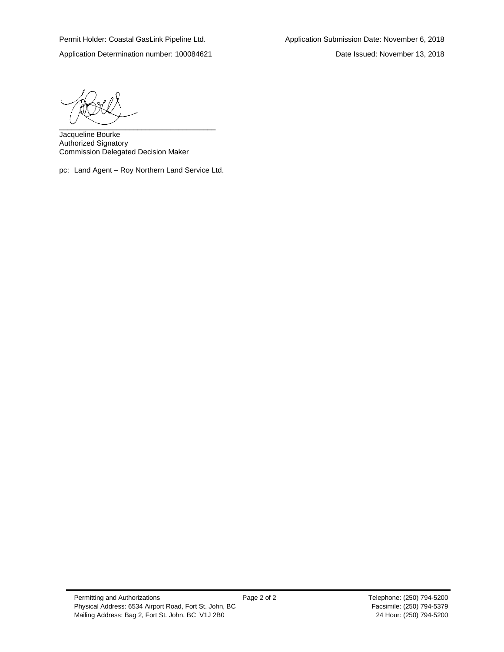Application Determination number: 100084621 Date Issued: November 13, 2018

 $\overbrace{\phantom{aaaaaaa}}$ 

Jacqueline Bourke Authorized Signatory Commission Delegated Decision Maker

pc: Land Agent – Roy Northern Land Service Ltd.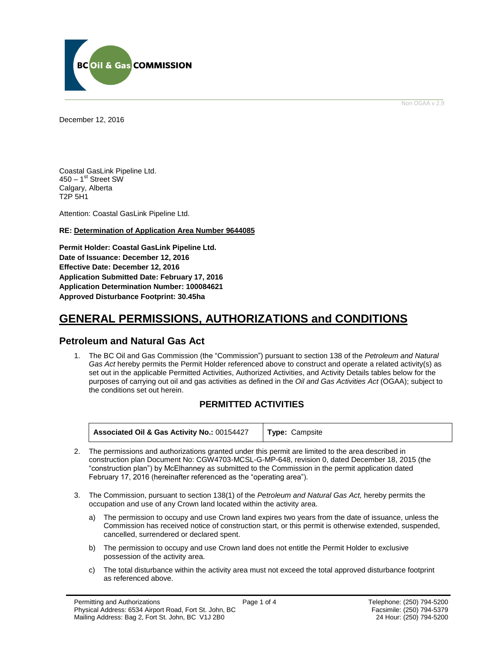

Non OGAA v 2.9

<span id="page-3-0"></span>December 12, 2016

Coastal GasLink Pipeline Ltd. 450 – 1<sup>st</sup> Street SW Calgary, Alberta T2P 5H1

Attention: Coastal GasLink Pipeline Ltd.

### **RE: Determination of Application Area Number 9644085**

**Permit Holder: Coastal GasLink Pipeline Ltd. Date of Issuance: December 12, 2016 Effective Date: December 12, 2016 Application Submitted Date: February 17, 2016 Application Determination Number: 100084621 [Approved Disturbance Footprint:](#page-3-0) 30.45ha**

# **GENERAL [PERMISSIONS,](#page-3-0) AUTHORIZATIONS and CONDITIONS**

## **Petroleum and Natural Gas Act**

1. The BC Oil and Gas Commission (the "Commission") pursuant to section 138 of the *Petroleum and Natural Gas Act* hereby permits the Permit Holder referenced above to construct and operate a related activity(s) as set out in the applicable Permitted Activities, Authorized Activities, and Activity Details tables below for the purposes of carrying out oil and gas activities as defined in the *Oil and Gas Activities Act* (OGAA); subject to the conditions set out herein.

## **PERMITTED ACTIVITIES**

| <b>Associated Oil &amp; Gas Activity No.: 00154427   Type: Campsite</b> |
|-------------------------------------------------------------------------|
|                                                                         |

- 2. The permissions and authorizations granted under this permit are limited to the area described in construction plan Document No: CGW4703-MCSL-G-MP-648, revision 0, dated December 18, 2015 (the "construction plan") by McElhanney as submitted to the Commission in the permit application dated February 17, 2016 (hereinafter referenced as the "operating area").
- 3. The Commission, pursuant to section 138(1) of the *Petroleum and Natural Gas Act,* hereby permits the occupation and use of any Crown land located within the activity area.
	- a) The permission to occupy and use Crown land expires two years from the date of issuance, unless the Commission has received notice of construction start, or this permit is otherwise extended, suspended, cancelled, surrendered or declared spent.
	- b) The permission to occupy and use Crown land does not entitle the Permit Holder to exclusive possession of the activity area.
	- c) The total disturbance within the activity area must not exceed the total approved disturbance footprint as referenced above.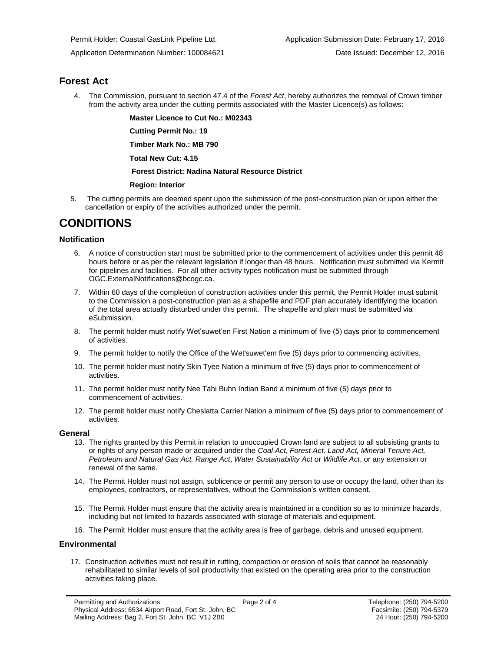## **Forest Act**

4. The Commission, pursuant to section 47.4 of the *Forest Act*, hereby [authorizes](#page-3-0) the removal of Crown timber from the activity area under the cutting permits associated with the Master Licence(s) as follows:

**Master Licence to Cut No.: M02343**

**Cutting Permit No.: 19**

**Timber Mark No.: MB 790**

**Total New Cut: 4.15**

### **[Forest District:](https://ams-crd.bcogc.ca/crd/) Nadina Natural Resource District**

### **Region: Interior**

5. The cutting permits are deemed spent upon the submission of the post-construction plan or upon either the cancellation or expiry of the activitie[s authorized](#page-3-0) under the permit.

# **CONDITIONS**

### **Notification**

- 6. A notice of construction start must be submitted prior to the commencement of activities under this permit 48 hours before or as per the relevant legislation if longer than 48 hours. Notification must submitted via Kermit for pipelines and facilities. For all other activity types notification must be submitted through [OGC.ExternalNotifications@bcogc.ca.](mailto:OGC.ExternalNotifications@bcogc.ca)
- 7. Within 60 days of the completion of construction activities under this permit, the Permit Holder must submit to the Commission a post-construction plan as a shapefile and PDF plan accurately identifying the location of the total area actually disturbed under this permit. The shapefile and plan must be submitted via eSubmission.
- 8. The permit holder must notify Wet'suwet'en First Nation a minimum of five (5) days prior to commencement of activities.
- 9. The permit holder to notify the Office of the Wet'suwet'em five (5) days prior to commencing activities.
- 10. The permit holder must notify Skin Tyee Nation a minimum of five (5) days prior to commencement of activities.
- 11. The permit holder must notify Nee Tahi Buhn Indian Band a minimum of five (5) days prior to commencement of activities.
- 12. The permit holder must notify Cheslatta Carrier Nation a minimum of five (5) days prior to commencement of activities.

### **General**

- 13. The rights granted by this Permit in relation to unoccupied Crown land are subject to all subsisting grants to or rights of any person made or acquired under the *Coal Act, Forest Act, Land Act, Mineral Tenure Act, Petroleum and Natural Gas Act, Range Act*, *Water Sustainability Act* or *Wildlife Act*, or any extension or renewal of the same.
- 14. The Permit Holder must not assign, sublicence or permit any person to use or occupy the land, other than its employees, contractors, or representatives, without the Commission's written consent.
- 15. The Permit Holder must ensure that the activity area is maintained in a condition so as to minimize hazards, including but not limited to hazards associated with storage of materials and equipment.
- 16. The Permit Holder must ensure that the activity area is free of garbage, debris and unused equipment.

### **Environmental**

17. Construction activities must not result in rutting, compaction or erosion of soils that cannot be reasonably rehabilitated to similar levels of soil productivity that existed on the operating area prior to the construction activities taking place.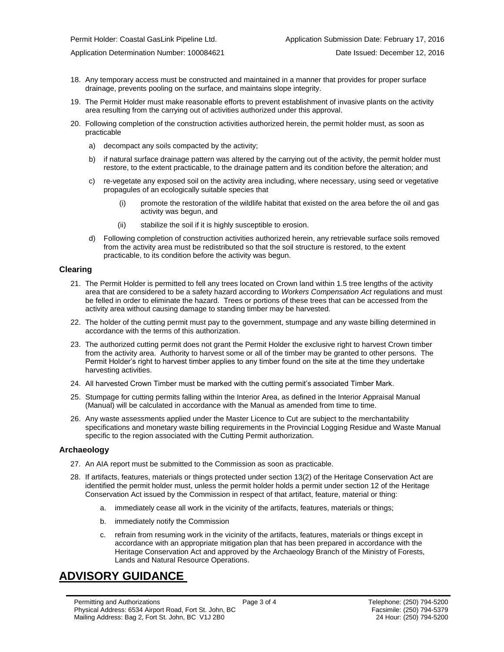Application Determination Number: 100084621 Date Issued: December 12, 2016

- 18. Any temporary access must be constructed and maintained in a manner that provides for proper surface drainage, prevents pooling on the surface, and maintains slope integrity.
- 19. The Permit Holder must make reasonable efforts to prevent establishment of invasive plants on the activity area resulting from the carrying out of activities authorized under this approval.
- 20. Following completion of the construction activities authorized herein, the permit holder must, as soon as practicable
	- a) decompact any soils compacted by the activity;
	- b) if natural surface drainage pattern was altered by the carrying out of the activity, the permit holder must restore, to the extent practicable, to the drainage pattern and its condition before the alteration; and
	- c) re-vegetate any exposed soil on the activity area including, where necessary, using seed or vegetative propagules of an ecologically suitable species that
		- (i) promote the restoration of the wildlife habitat that existed on the area before the oil and gas activity was begun, and
		- (ii) stabilize the soil if it is highly susceptible to erosion.
	- d) Following completion of construction activities authorized herein, any retrievable surface soils removed from the activity area must be redistributed so that the soil structure is restored, to the extent practicable, to its condition before the activity was begun.

#### **Clearing**

- 21. The Permit Holder is permitted to fell any trees located on Crown land within 1.5 tree lengths of the activity area that are considered to be a safety hazard according to *Workers Compensation Act* regulations and must be felled in order to eliminate the hazard. Trees or portions of these trees that can be accessed from the activity area without causing damage to standing timber may be harvested.
- 22. The holder of the cutting permit must pay to the government, stumpage and any waste billing determined in accordance with the terms of this [authorization.](#page-3-0)
- 23. Th[e authorized](#page-3-0) cutting permit does not grant the Permit Holder the exclusive right to harvest Crown timber from the activity area. Authority to harvest some or all of the timber may be granted to other persons. The Permit Holder's right to harvest timber applies to any timber found on the site at the time they undertake harvesting activities.
- 24. All harvested Crown Timber must be marked with the cutting permit's associated Timber Mark.
- 25. Stumpage for cutting permits falling within the Interior Area, as defined in the Interior Appraisal Manual (Manual) will be calculated in accordance with the Manual as amended from time to time.
- 26. Any waste assessments applied under the Master Licence to Cut are subject to the merchantability specifications and monetary waste billing requirements in the Provincial Logging Residue and Waste Manual specific to the region associated with the Cutting Permit [authorization.](#page-3-0)

#### **Archaeology**

- 27. An AIA report must be submitted to the Commission as soon as practicable.
- 28. If artifacts, features, materials or things protected under section 13(2) of the Heritage Conservation Act are identified the permit holder must, unless the permit holder holds a permit under section 12 of the Heritage Conservation Act issued by the Commission in respect of that artifact, feature, material or thing:
	- a. immediately cease all work in the vicinity of the artifacts, features, materials or things;
	- b. immediately notify the Commission
	- c. refrain from resuming work in the vicinity of the artifacts, features, materials or things except in accordance with an appropriate mitigation plan that has been prepared in accordance with the Heritage Conservation Act and approved by the Archaeology Branch of the Ministry of Forests, Lands and Natural Resource Operations.

# **ADVISORY GUIDANCE**